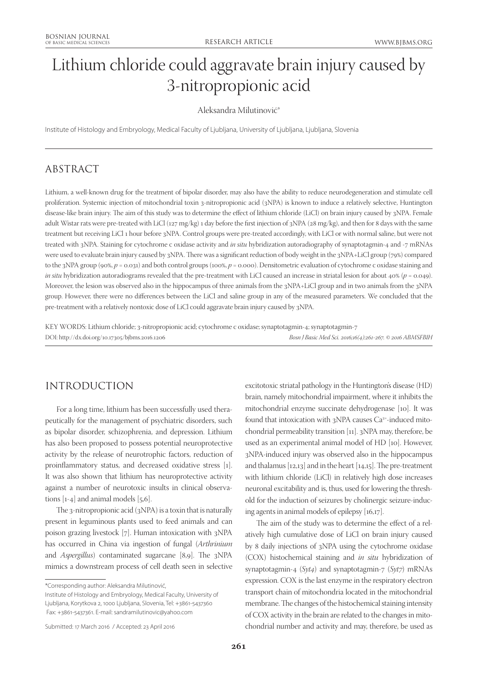# Lithium chloride could aggravate brain injury caused by 3-nitropropionic acid

Aleksandra Milutinović\*

Institute of Histology and Embryology, Medical Faculty of Ljubljana, University of Ljubljana, Ljubljana, Slovenia

# ABSTRACT

Lithium, a well-known drug for the treatment of bipolar disorder, may also have the ability to reduce neurodegeneration and stimulate cell proliferation. Systemic injection of mitochondrial toxin 3-nitropropionic acid (3NPA) is known to induce a relatively selective, Huntington disease-like brain injury. The aim of this study was to determine the effect of lithium chloride (LiCl) on brain injury caused by 3NPA. Female adult Wistar rats were pre-treated with LiCl (127 mg/kg) 1 day before the first injection of 3NPA (28 mg/kg), and then for 8 days with the same treatment but receiving LiCl 1 hour before 3NPA. Control groups were pre-treated accordingly, with LiCl or with normal saline, but were not treated with 3NPA. Staining for cytochrome c oxidase activity and *in situ* hybridization autoradiography of synaptotagmin-4 and -7 mRNAs were used to evaluate brain injury caused by 3NPA. There was a significant reduction of body weight in the 3NPA+LiCl group (79%) compared to the 3NPA group (90%,  $p = 0.031$ ) and both control groups (100%,  $p = 0.000$ ). Densitometric evaluation of cytochrome c oxidase staining and *in situ* hybridization autoradiograms revealed that the pre-treatment with LiCl caused an increase in striatal lesion for about 40% ( $p = 0.049$ ). Moreover, the lesion was observed also in the hippocampus of three animals from the 3NPA+LiCl group and in two animals from the 3NPA group. However, there were no differences between the LiCl and saline group in any of the measured parameters. We concluded that the pre-treatment with a relatively nontoxic dose of LiCl could aggravate brain injury caused by 3NPA.

KEY WORDS: Lithium chloride; 3-nitropropionic acid; cytochrome c oxidase; synaptotagmin-4; synaptotagmin-7 DOI: http://dx.doi.org/10.17305/bjbms.2016.1206 *Bosn J Basic Med Sci. 2016;16(4):261-267. © 2016 ABMSFBIH*

# INTRODUCTION

For a long time, lithium has been successfully used therapeutically for the management of psychiatric disorders, such as bipolar disorder, schizophrenia, and depression. Lithium has also been proposed to possess potential neuroprotective activity by the release of neurotrophic factors, reduction of proinflammatory status, and decreased oxidative stress [1]. It was also shown that lithium has neuroprotective activity against a number of neurotoxic insults in clinical observations  $[1-4]$  and animal models  $[5,6]$ .

The 3-nitropropionic acid  $(3NPA)$  is a toxin that is naturally present in leguminous plants used to feed animals and can poison grazing livestock [7]. Human intoxication with 3NPA has occurred in China via ingestion of fungal (*Arthrinium* and *Aspergillus*) contaminated sugarcane [8,9]. The 3NPA mimics a downstream process of cell death seen in selective

Institute of Histology and Embryology, Medical Faculty, University of Ljubljana, Korytkova 2, 1000 Ljubljana, Slovenia, Tel: +3861-5437360 Fax: +3861-5437361. E-mail: sandramilutinovic@yahoo.com

Submitted: 17 March 2016 / Accepted: 23 April 2016

excitotoxic striatal pathology in the Huntington's disease (HD) brain, namely mitochondrial impairment, where it inhibits the mitochondrial enzyme succinate dehydrogenase [10]. It was found that intoxication with 3NPA causes Ca<sup>2+</sup>-induced mitochondrial permeability transition [11]. 3NPA may, therefore, be used as an experimental animal model of HD [10]. However, 3NPA-induced injury was observed also in the hippocampus and thalamus  $[12,13]$  and in the heart  $[14,15]$ . The pre-treatment with lithium chloride (LiCl) in relatively high dose increases neuronal excitability and is, thus, used for lowering the threshold for the induction of seizures by cholinergic seizure-inducing agents in animal models of epilepsy [16,17].

The aim of the study was to determine the effect of a relatively high cumulative dose of LiCl on brain injury caused by 8 daily injections of 3NPA using the cytochrome oxidase (COX) histochemical staining and *in situ* hybridization of synaptotagmin-4 (*Syt4*) and synaptotagmin-7 (*Syt7*) mRNAs expression. COX is the last enzyme in the respiratory electron transport chain of mitochondria located in the mitochondrial membrane. The changes of the histochemical staining intensity of COX activity in the brain are related to the changes in mitochondrial number and activity and may, therefore, be used as

<sup>\*</sup>Corresponding author: Aleksandra Milutinović,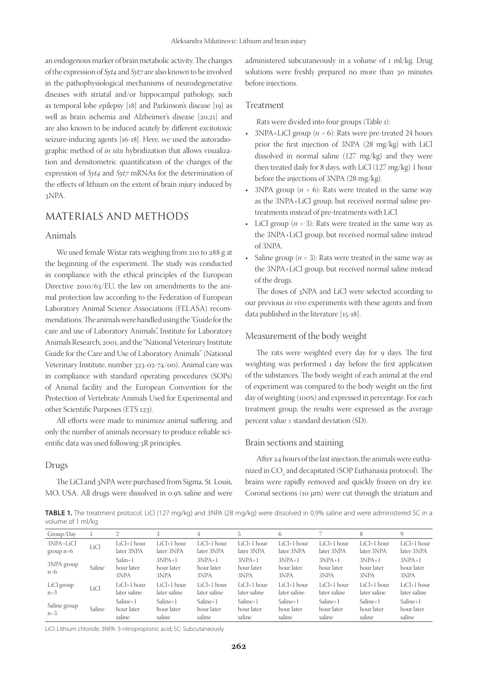an endogenous marker of brain metabolic activity. The changes of the expression of *Syt4* and *Syt7* are also known to be involved in the pathophysiological mechanisms of neurodegenerative diseases with striatal and/or hippocampal pathology, such as temporal lobe epilepsy [18] and Parkinson's disease [19] as well as brain ischemia and Alzheimer's disease [20,21] and are also known to be induced acutely by different excitotoxic seizure-inducing agents [16-18]. Here, we used the autoradiographic method of *in situ* hybridization that allows visualization and densitometric quantification of the changes of the expression of *Syt4* and *Syt7* mRNAs for the determination of the effects of lithium on the extent of brain injury induced by 3NPA.

# MATERIALS AND METHODS

#### Animals

We used female Wistar rats weighing from 210 to 288 g at the beginning of the experiment. The study was conducted in compliance with the ethical principles of the European Directive 2010/63/EU, the law on amendments to the animal protection law according to the Federation of European Laboratory Animal Science Associations (FELASA) recommendations. The animals were handled using the "Guide for the care and use of Laboratory Animals", Institute for Laboratory Animals Research, 2001, and the "National Veterinary Institute Guide for the Care and Use of Laboratory Animals" (National Veterinary Institute, number 323-02-74/00). Animal care was in compliance with standard operating procedures (SOPs) of Animal facility and the European Convention for the Protection of Vertebrate Animals Used for Experimental and other Scientific Purposes (ETS 123).

All efforts were made to minimize animal suffering, and only the number of animals necessary to produce reliable scientific data was used following  $3R$  principles.

#### Drugs

The LiCl and 3NPA were purchased from Sigma, St. Louis, MO, USA. All drugs were dissolved in 0.9% saline and were administered subcutaneously in a volume of 1 ml/kg. Drug solutions were freshly prepared no more than 30 minutes before injections.

#### Treatment

Rats were divided into four groups (Table 1):

- 3NPA+LiCl group  $(n = 6)$ : Rats were pre-treated 24 hours prior the first injection of 3NPA (28 mg/kg) with LiCl dissolved in normal saline (127 mg/kg) and they were then treated daily for 8 days, with LiCl (127 mg/kg) 1 hour before the injections of 3NPA (28 mg/kg).
- 3NPA group  $(n = 6)$ : Rats were treated in the same way as the 3NPA+LiCl group, but received normal saline pretreatments instead of pre-treatments with LiCl.
- LiCl group  $(n = 3)$ : Rats were treated in the same way as the 3NPA+LiCl group, but received normal saline instead of 3NPA.
- Saline group  $(n = 3)$ : Rats were treated in the same way as the 3NPA+LiCl group, but received normal saline instead of the drugs.

The doses of 3NPA and LiCl were selected according to our previous *in vivo* experiments with these agents and from data published in the literature [15-18].

#### Measurement of the body weight

The rats were weighted every day for 9 days. The first weighting was performed 1 day before the first application of the substances. The body weight of each animal at the end of experiment was compared to the body weight on the first day of weighting (100%) and expressed in percentage. For each treatment group, the results were expressed as the average percent value  $\pm$  standard deviation (SD).

#### Brain sections and staining

After 24 hours of the last injection, the animals were euthanized in  $\mathrm{CO}_\mathrm{_{2}}$  and decapitated (SOP Euthanasia protocol). The brains were rapidly removed and quickly frozen on dry ice. Coronal sections (10 μm) were cut through the striatum and

**TABLE 1.** The treatment protocol. LiCl (127 mg/kg) and 3NPA (28 mg/kg) were dissolved in 0.9% saline and were administered SC in a volume of 1 ml/kg

| Group/Day                |        |                                  |                                    | 4                                |                                  | 6                                |                                  |                                  |                                    |
|--------------------------|--------|----------------------------------|------------------------------------|----------------------------------|----------------------------------|----------------------------------|----------------------------------|----------------------------------|------------------------------------|
| 3NPA+LiCl<br>group $n=6$ | LiCl   | LiCl+1 hour<br>later 3NPA        | LiCl+1 hour<br>later 3NPA          | $LiCl+1$ hour<br>later 3NPA      | $LiCl+1$ hour<br>later 3NPA      | $LiCl+1$ hour<br>later 3NPA      | $LiCl+1$ hour<br>later 3NPA      | $LiCl+1$ hour<br>later 3NPA      | $LiCl+1$ hour<br>later 3NPA        |
| 3NPA group<br>$n=6$      | Saline | $Salin+1$<br>hour later<br>3NPA  | $3NPA+1$<br>hour later<br>3NPA     | $3NPA+1$<br>hour later<br>3NPA   | $3NPA+1$<br>hour later<br>3NPA   | $3NPA+1$<br>hour later<br>3NPA   | $3NPA+1$<br>hour later<br>3NPA   | $3NPA+1$<br>hour later<br>3NPA   | $3NPA+1$<br>hour later<br>3NPA     |
| LiCl group<br>$n=3$      | LiCl   | LiCl+1 hour<br>later saline      | LiCl+1 hour<br>later saline        | $LiCl+1$ hour<br>later saline    | $LiCl+1$ hour<br>later saline    | $LiCl+1$ hour<br>later saline    | $LiCl+1$ hour<br>later saline    | $LiCl+1$ hour<br>later saline    | $LiCl+1$ hour<br>later saline      |
| Saline group<br>$n=3$    | Saline | Saline+1<br>hour later<br>saline | $Saline+1$<br>hour later<br>saline | Saline+1<br>hour later<br>saline | Saline+1<br>hour later<br>saline | Saline+1<br>hour later<br>saline | Saline+1<br>hour later<br>saline | Saline+1<br>hour later<br>saline | $Saline+1$<br>hour later<br>saline |

LiCl: Lithium chloride; 3NPA: 3-nitropropionic acid; SC: Subcutaneously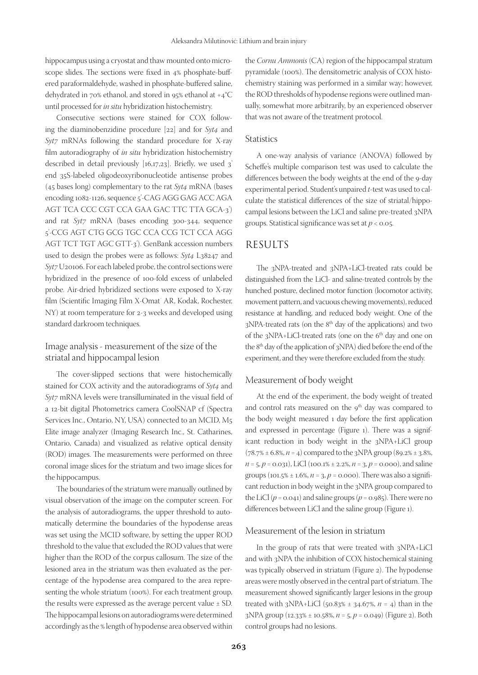hippocampus using a cryostat and thaw mounted onto microscope slides. The sections were fixed in 4% phosphate-buffered paraformaldehyde, washed in phosphate-buffered saline, dehydrated in 70% ethanol, and stored in 95% ethanol at  $+4^{\circ}C$ until processed for *in situ* hybridization histochemistry.

Consecutive sections were stained for COX following the diaminobenzidine procedure [22] and for *Syt4* and *Syt7* mRNAs following the standard procedure for X-ray film autoradiography of *in situ* hybridization histochemistry described in detail previously  $[16,17,23]$ . Briefly, we used 3' end 35S-labeled oligodeoxyribonucleotide antisense probes (45 bases long) complementary to the rat *Syt4* mRNA (bases encoding 1082-1126, sequence 5'-CAG AGG GAG ACC AGA AGT TCA CCC CGT CCA GAA GAC TTC TTA GCA-3') and rat *Syt7* mRNA (bases encoding 300-344, sequence 5'-CCG AGT CTG GCG TGC CCA CCG TCT CCA AGG AGT TCT TGT AGC GTT-3'). GenBank accession numbers used to design the probes were as follows: *Syt4* L38247 and *Syt7* U20106. For each labeled probe, the control sections were hybridized in the presence of 100-fold excess of unlabeled probe. Air-dried hybridized sections were exposed to X-ray film (Scientific Imaging Film X-Omat™ AR, Kodak, Rochester, NY) at room temperature for 2-3 weeks and developed using standard darkroom techniques.

## Image analysis - measurement of the size of the striatal and hippocampal lesion

The cover-slipped sections that were histochemically stained for COX activity and the autoradiograms of *Syt4* and *Syt7* mRNA levels were transilluminated in the visual field of a 12-bit digital Photometrics camera CoolSNAP cf (Spectra Services Inc., Ontario, NY, USA) connected to an MCID, M5 Elite image analyzer (Imaging Research Inc., St. Catharines, Ontario, Canada) and visualized as relative optical density (ROD) images. The measurements were performed on three coronal image slices for the striatum and two image slices for the hippocampus.

The boundaries of the striatum were manually outlined by visual observation of the image on the computer screen. For the analysis of autoradiograms, the upper threshold to automatically determine the boundaries of the hypodense areas was set using the MCID software, by setting the upper ROD threshold to the value that excluded the ROD values that were higher than the ROD of the corpus callosum. The size of the lesioned area in the striatum was then evaluated as the percentage of the hypodense area compared to the area representing the whole striatum (100%). For each treatment group, the results were expressed as the average percent value  $\pm$  SD. The hippocampal lesions on autoradiograms were determined accordingly as the % length of hypodense area observed within

the *Cornu Ammonis* (CA) region of the hippocampal stratum pyramidale (100%). The densitometric analysis of COX histochemistry staining was performed in a similar way; however, the ROD thresholds of hypodense regions were outlined manually, somewhat more arbitrarily, by an experienced observer that was not aware of the treatment protocol.

#### **Statistics**

A one-way analysis of variance (ANOVA) followed by Scheffe's multiple comparison test was used to calculate the differences between the body weights at the end of the 9-day experimental period. Student's unpaired *t*-test was used to calculate the statistical differences of the size of striatal/hippocampal lesions between the LiCl and saline pre-treated 3NPA groups. Statistical significance was set at  $p < 0.05$ .

### RESULTS

The 3NPA-treated and 3NPA+LiCl-treated rats could be distinguished from the LiCl- and saline-treated controls by the hunched posture, declined motor function (locomotor activity, movement pattern, and vacuous chewing movements), reduced resistance at handling, and reduced body weight. One of the 3NPA-treated rats (on the 8<sup>th</sup> day of the applications) and two of the 3NPA+LiCl-treated rats (one on the 6<sup>th</sup> day and one on the 8<sup>th</sup> day of the application of 3NPA) died before the end of the experiment, and they were therefore excluded from the study.

#### Measurement of body weight

At the end of the experiment, the body weight of treated and control rats measured on the 9<sup>th</sup> day was compared to the body weight measured 1 day before the first application and expressed in percentage (Figure 1). There was a significant reduction in body weight in the 3NPA+LiCl group  $(78.7\% \pm 6.8\%, n = 4)$  compared to the 3NPA group  $(89.2\% \pm 3.8\%,$  $n = 5, p = 0.031$ , LiCl (100.1% ± 2.2%,  $n = 3, p = 0.000$ ), and saline groups (101.5%  $\pm$  1.6%,  $n = 3$ ,  $p = 0.000$ ). There was also a significant reduction in body weight in the 3NPA group compared to the LiCl  $(p = 0.041)$  and saline groups  $(p = 0.985)$ . There were no differences between LiCl and the saline group (Figure 1).

#### Measurement of the lesion in striatum

In the group of rats that were treated with 3NPA+LiCl and with 3NPA the inhibition of COX histochemical staining was typically observed in striatum (Figure 2). The hypodense areas were mostly observed in the central part of striatum. The measurement showed significantly larger lesions in the group treated with 3NPA+LiCl (50.83%  $\pm$  34.67%,  $n = 4$ ) than in the 3NPA group (12.33 ± 10.58, *n* = 5, *p* = 0.049) (Figure 2). Both control groups had no lesions.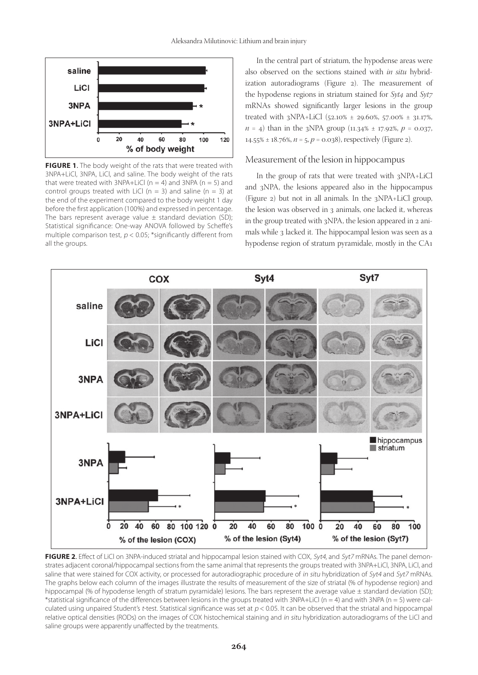

**FIGURE 1**. The body weight of the rats that were treated with 3NPA+LiCl, 3NPA, LiCl, and saline. The body weight of the rats that were treated with 3NPA+LiCl ( $n = 4$ ) and 3NPA ( $n = 5$ ) and control groups treated with LiCl ( $n = 3$ ) and saline ( $n = 3$ ) at the end of the experiment compared to the body weight 1 day before the first application (100%) and expressed in percentage. The bars represent average value  $\pm$  standard deviation (SD); Statistical significance: One-way ANOVA followed by Scheffe's multiple comparison test,  $p < 0.05$ ; \*significantly different from all the groups.

In the central part of striatum, the hypodense areas were also observed on the sections stained with *in situ* hybridization autoradiograms (Figure  $2$ ). The measurement of the hypodense regions in striatum stained for *Syt4* and *Syt7* mRNAs showed significantly larger lesions in the group treated with 3NPA+LiCl (52.10%  $\pm$  29.60%, 57.00%  $\pm$  31.17%,  $n = 4$ ) than in the 3NPA group (11.34%  $\pm$  17.92%,  $p = 0.037$ ,  $14.55\% \pm 18.76\%, n = 5, p = 0.038$ , respectively (Figure 2).

#### Measurement of the lesion in hippocampus

In the group of rats that were treated with 3NPA+LiCl and 3NPA, the lesions appeared also in the hippocampus (Figure 2) but not in all animals. In the 3NPA+LiCl group, the lesion was observed in 3 animals, one lacked it, whereas in the group treated with 3NPA, the lesion appeared in 2 animals while 3 lacked it. The hippocampal lesion was seen as a hypodense region of stratum pyramidale, mostly in the CA1



FIGURE 2. Effect of LiCl on 3NPA-induced striatal and hippocampal lesion stained with COX, Syt4, and Syt7 mRNAs. The panel demonstrates adjacent coronal/hippocampal sections from the same animal that represents the groups treated with 3NPA+LiCl, 3NPA, LiCl, and saline that were stained for COX activity, or processed for autoradiographic procedure of in situ hybridization of Syt4 and Syt7 mRNAs. The graphs below each column of the images illustrate the results of measurement of the size of striatal (% of hypodense region) and hippocampal (% of hypodense length of stratum pyramidale) lesions. The bars represent the average value ± standard deviation (SD); \*statistical significance of the differences between lesions in the groups treated with 3NPA+LiCl ( $n = 4$ ) and with 3NPA ( $n = 5$ ) were calculated using unpaired Student's t-test. Statistical significance was set at  $p < 0.05$ . It can be observed that the striatal and hippocampal relative optical densities (RODs) on the images of COX histochemical staining and in situ hybridization autoradiograms of the LiCl and saline groups were apparently unaffected by the treatments.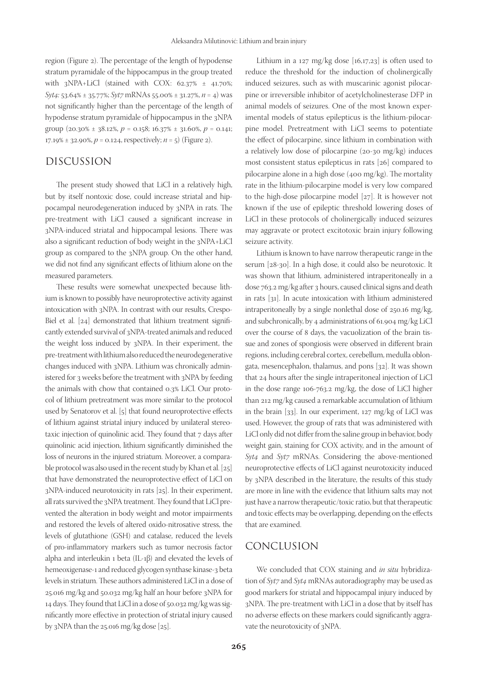region (Figure 2). The percentage of the length of hypodense stratum pyramidale of the hippocampus in the group treated with 3NPA+LiCl (stained with COX:  $62.37\% \pm 41.70\%$ ; *Syt4*: 53.64% ± 35.77%; *Syt7* mRNAs 55.00% ± 31.27%,  $n = 4$ ) was not significantly higher than the percentage of the length of hypodense stratum pyramidale of hippocampus in the 3NPA group (20.30%  $\pm$  38.12%,  $p = 0.158$ ; 16.37%  $\pm$  31.60%,  $p = 0.141$ ; 17.19%  $\pm$  32.90%,  $p = 0.124$ , respectively;  $n = 5$ ) (Figure 2).

## DISCUSSION

The present study showed that LiCl in a relatively high, but by itself nontoxic dose, could increase striatal and hippocampal neurodegeneration induced by 3NPA in rats. The pre-treatment with LiCl caused a significant increase in 3NPA-induced striatal and hippocampal lesions. There was also a significant reduction of body weight in the 3NPA+LiCl group as compared to the 3NPA group. On the other hand, we did not find any significant effects of lithium alone on the measured parameters.

These results were somewhat unexpected because lithium is known to possibly have neuroprotective activity against intoxication with 3NPA. In contrast with our results, Crespo-Biel et al.  $[24]$  demonstrated that lithium treatment significantly extended survival of 3NPA-treated animals and reduced the weight loss induced by 3NPA. In their experiment, the pre-treatment with lithium also reduced the neurodegenerative changes induced with 3NPA. Lithium was chronically administered for 3 weeks before the treatment with 3NPA by feeding the animals with chow that contained 0.3% LiCl. Our protocol of lithium pretreatment was more similar to the protocol used by Senatorov et al.  $[5]$  that found neuroprotective effects of lithium against striatal injury induced by unilateral stereotaxic injection of quinolinic acid. They found that 7 days after quinolinic acid injection, lithium significantly diminished the loss of neurons in the injured striatum. Moreover, a comparable protocol was also used in the recent study by Khan et al. [25] that have demonstrated the neuroprotective effect of LiCl on 3NPA-induced neurotoxicity in rats [25]. In their experiment, all rats survived the 3NPA treatment. They found that LiCl prevented the alteration in body weight and motor impairments and restored the levels of altered oxido-nitrosative stress, the levels of glutathione (GSH) and catalase, reduced the levels of pro-inflammatory markers such as tumor necrosis factor alpha and interleukin 1 beta (IL-1β) and elevated the levels of hemeoxigenase-1 and reduced glycogen synthase kinase-3 beta levels in striatum. These authors administered LiCl in a dose of 25.016 mg/kg and 50.032 mg/kg half an hour before 3NPA for 14 days. They found that LiCl in a dose of 50.032 mg/kg was significantly more effective in protection of striatal injury caused by 3NPA than the 25.016 mg/kg dose [25].

Lithium in a 127  $mg/kg$  dose [16,17,23] is often used to reduce the threshold for the induction of cholinergically induced seizures, such as with muscarinic agonist pilocarpine or irreversible inhibitor of acetylcholinesterase DFP in animal models of seizures. One of the most known experimental models of status epilepticus is the lithium-pilocarpine model. Pretreatment with LiCl seems to potentiate the effect of pilocarpine, since lithium in combination with a relatively low dose of pilocarpine (20-30 mg/kg) induces most consistent status epilepticus in rats [26] compared to pilocarpine alone in a high dose  $(400 \text{ mg/kg})$ . The mortality rate in the lithium-pilocarpine model is very low compared to the high-dose pilocarpine model [27]. It is however not known if the use of epileptic threshold lowering doses of LiCl in these protocols of cholinergically induced seizures may aggravate or protect excitotoxic brain injury following seizure activity.

Lithium is known to have narrow therapeutic range in the serum [28-30]. In a high dose, it could also be neurotoxic. It was shown that lithium, administered intraperitoneally in a dose 763.2 mg/kg after 3 hours, caused clinical signs and death in rats [31]. In acute intoxication with lithium administered intraperitoneally by a single nonlethal dose of 250.16 mg/kg, and subchronically, by 4 administrations of 61.904 mg/kg LiCl over the course of 8 days, the vacuolization of the brain tissue and zones of spongiosis were observed in different brain regions, including cerebral cortex, cerebellum, medulla oblongata, mesencephalon, thalamus, and pons [32]. It was shown that 24 hours after the single intraperitoneal injection of LiCl in the dose range 106-763.2 mg/kg, the dose of LiCl higher than 212 mg/kg caused a remarkable accumulation of lithium in the brain [33]. In our experiment, 127 mg/kg of LiCl was used. However, the group of rats that was administered with LiCl only did not differ from the saline group in behavior, body weight gain, staining for COX activity, and in the amount of *Syt4* and *Syt7* mRNAs. Considering the above-mentioned neuroprotective effects of LiCl against neurotoxicity induced by 3NPA described in the literature, the results of this study are more in line with the evidence that lithium salts may not just have a narrow therapeutic/toxic ratio, but that therapeutic and toxic effects may be overlapping, depending on the effects that are examined.

## CONCLUSION

We concluded that COX staining and *in situ* hybridization of *Syt7* and *Syt4* mRNAs autoradiography may be used as good markers for striatal and hippocampal injury induced by 3NPA. The pre-treatment with LiCl in a dose that by itself has no adverse effects on these markers could significantly aggravate the neurotoxicity of 3NPA.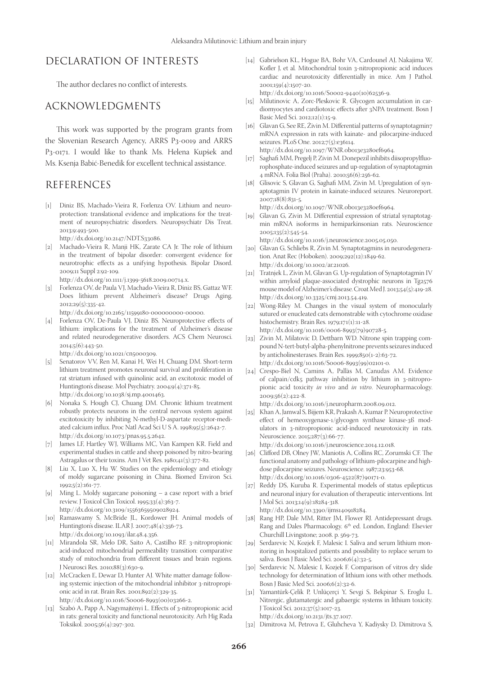## DECLARATION OF INTERESTS

The author declares no conflict of interests.

## ACKNOWLEDGMENTS

This work was supported by the program grants from the Slovenian Research Agency, ARRS P3-0019 and ARRS P<sub>3</sub>-0171. I would like to thank Ms. Helena Kupšek and Ms. Ksenja Babić-Benedik for excellent technical assistance.

## **REFERENCES**

[1] Diniz BS, Machado-Vieira R, Forlenza OV. Lithium and neuroprotection: translational evidence and implications for the treatment of neuropsychiatric disorders. Neuropsychiatr Dis Treat. 2013;9:493-500.

http://dx.doi.org/10.2147/NDT.S33086.

- [2] Machado-Vieira R, Manji HK, Zarate CA Jr. The role of lithium in the treatment of bipolar disorder: convergent evidence for neurotrophic effects as a unifying hypothesis. Bipolar Disord. 2009;11 Suppl 2:92-109. http://dx.doi.org/10.1111/j.1399-5618.2009.00714.x.
- [3] Forlenza OV, de Paula VJ, Machado-Vieira R, Diniz BS, Gattaz WF. Does lithium prevent Alzheimer's disease? Drugs Aging. 2012;29(5):335-42.

http://dx.doi.org/10.2165/11599180-000000000-00000.

[4] Forlenza OV, De-Paula VJ, Diniz BS. Neuroprotective effects of lithium: implications for the treatment of Alzheimer's disease and related neurodegenerative disorders. ACS Chem Neurosci. 2014;5(6):443-50.

http://dx.doi.org/10.1021/cn5000309.

- [5] Senatorov VV, Ren M, Kanai H, Wei H, Chuang DM. Short-term lithium treatment promotes neuronal survival and proliferation in rat striatum infused with quinolinic acid, an excitotoxic model of Huntington's disease. Mol Psychiatry. 2004;9(4):371-85. http://dx.doi.org/10.1038/sj.mp.4001463.
- [6] Nonaka S, Hough CJ, Chuang DM. Chronic lithium treatment robustly protects neurons in the central nervous system against excitotoxicity by inhibiting N-methyl-D-aspartate receptor-mediated calcium influx. Proc Natl Acad Sci U S A.  $1998;95(5):2642-7$ . http://dx.doi.org/10.1073/pnas.95.5.2642.
- [7] James LF, Hartley WJ, Williams MC, Van Kampen KR. Field and experimental studies in cattle and sheep poisoned by nitro-bearing Astragalus or their toxins. Am J Vet Res. 1980;41(3):377-82.
- [8] Liu X, Luo X, Hu W. Studies on the epidemiology and etiology of moldy sugarcane poisoning in China. Biomed Environ Sci. 1992;5(2):161-77.
- [9] Ming L. Moldy sugarcane poisoning a case report with a brief review. J Toxicol Clin Toxicol. 1995;33(4):363-7. http://dx.doi.org/10.3109/15563659509028924.
- [10] Ramaswamy S, McBride JL, Kordower JH. Animal models of Huntington's disease. ILAR J. 2007;48(4):356-73. http://dx.doi.org/10.1093/ilar.48.4.356.
- [11] Mirandola SR, Melo DR, Saito A, Castilho RF. 3-nitropropionic acid-induced mitochondrial permeability transition: comparative study of mitochondria from different tissues and brain regions. J Neurosci Res. 2010;88(3):630-9.
- [12] McCracken E, Dewar D, Hunter AJ. White matter damage following systemic injection of the mitochondrial inhibitor 3-nitropropionic acid in rat. Brain Res. 2001;892(2):329-35. http://dx.doi.org/10.1016/S0006-8993(00)03266-2.
- [13] Szabó A, Papp A, Nagymajtényi L. Effects of 3-nitropropionic acid in rats: general toxicity and functional neurotoxicity. Arh Hig Rada Toksikol. 2005;56(4):297-302.

[14] Gabrielson KL, Hogue BA, Bohr VA, Cardounel AJ, Nakajima W, Kofler J, et al. Mitochondrial toxin 3-nitropropionic acid induces cardiac and neurotoxicity differentially in mice. Am J Pathol. 2001;159(4):1507-20.

http://dx.doi.org/10.1016/S0002-9440(10)62536-9.

- [15] Milutinovic A, Zorc-Pleskovic R. Glycogen accumulation in cardiomyocytes and cardiotoxic effects after 3NPA treatment. Bosn J Basic Med Sci. 2012;12(1):15-9.
- [16] Glavan G, See RE, Živin M. Differential patterns of synaptotagmin7 mRNA expression in rats with kainate- and pilocarpine-induced seizures. PLoS One. 2012;7(5):e36114. http://dx.doi.org/10.1097/WNR.0b013e3280ef6964.
- [17] Saghafi MM, Pregelj P, Zivin M. Donepezil inhibits diisopropylfluorophosphate-induced seizures and up-regulation of synaptotagmin 4 mRNA. Folia Biol (Praha). 2010;56(6):256-62.
- [18] Glisovic S, Glavan G, Saghafi MM, Zivin M. Upregulation of synaptotagmin IV protein in kainate-induced seizures. Neuroreport. 2007;18(8):831-5.

http://dx.doi.org/10.1097/WNR.0b013e3280ef6964.

[19] Glavan G, Zivin M. Differential expression of striatal synaptotagmin mRNA isoforms in hemiparkinsonian rats. Neuroscience 2005;135(2):545-54.

http://dx.doi.org/10.1016/j.neuroscience.2005.05.050.

- [20] Glavan G, Schliebs R, Zivin M. Synaptotagmins in neurodegeneration. Anat Rec (Hoboken). 2009;292(12):1849-62. http://dx.doi.org/10.1002/ar.21026.
- [21] Tratnjek L, Zivin M, Glavan G. Up-regulation of Synaptotagmin IV within amyloid plaque-associated dystrophic neurons in Tg2576 mouse model of Alzheimer's disease. Croat Med J. 2013;54(5):419-28. http://dx.doi.org/10.3325/cmj.2013.54.419.
- [22] Wong-Riley M. Changes in the visual system of monocularly sutured or enucleated cats demonstrable with cytochrome oxidase histochemistry. Brain Res. 1979;171(1):11-28. http://dx.doi.org/10.1016/0006-8993(79)90728-5.
- [23] Zivin M, Milatovic D, Dettbarn WD. Nitrone spin trapping compound N-tert-butyl-alpha-phenylnitrone prevents seizures induced by anticholinesterases. Brain Res. 1999;850(1-2):63-72. http://dx.doi.org/10.1016/S0006-8993(99)02101-0.
- [24] Crespo-Biel N, Camins A, Pallàs M, Canudas AM. Evidence of calpain/cdk5 pathway inhibition by lithium in 3-nitropropionic acid toxicity *in vivo* and *in vitro*. Neuropharmacology. 2009;56(2):422-8.

http://dx.doi.org/10.1016/j.neuropharm.2008.09.012.

- [25] Khan A, Jamwal S, Bijjem KR, Prakash A, Kumar P. Neuroprotective effect of hemeoxygenase-1/glycogen synthase kinase-3ß modulators in 3-nitropropionic acid-induced neurotoxicity in rats. Neuroscience. 2015;287(3):66-77. http://dx.doi.org/10.1016/j.neuroscience.2014.12.018.
- [26] Clifford DB, Olney JW, Maniotis A, Collins RC, Zorumski CF. The functional anatomy and pathology of lithium-pilocarpine and highdose pilocarpine seizures. Neuroscience. 1987;23:953-68. http://dx.doi.org/10.1016/0306-4522(87)90171-0.
- [27] Reddy DS, Kuruba R. Experimental models of status epilepticus and neuronal injury for evaluation of therapeutic interventions. Int J Mol Sci. 2013;14(9):18284-318.

http://dx.doi.org/10.3390/ijms140918284.

- [28] Rang HP, Dale MM, Ritter JM, Flower RJ. Antidepressant drugs. Rang and Dales Pharmacology. 6<sup>th</sup> ed. London, England: Elsevier Churchill Livingstone; 2008. p. 569-73.
- [29] Serdarevic N, Kozjek F, Malesic I. Saliva and serum lithium monitoring in hospitalized patients and possibility to replace serum to saliva. Bosn J Basic Med Sci. 2006;6(4):32-5.
- [30] Serdarevic N, Malesic I, Kozjek F. Comparison of vitros dry slide technology for determination of lithium ions with other methods. Bosn J Basic Med Sci. 2006;6(2):32-6.
- [31] Yamantürk-Çelik P, Unlüçerçi Y, Sevgi S, Bekpinar S, Eroglu L. Nitrergic, glutamatergic and gabaergic systems in lithium toxicity. J Toxicol Sci. 2012;37(5):1017-23. http://dx.doi.org/10.2131/jts.37.1017.
- [32] Dimitrova M, Petrova E, Gluhcheva Y, Kadiysky D, Dimitrova S,